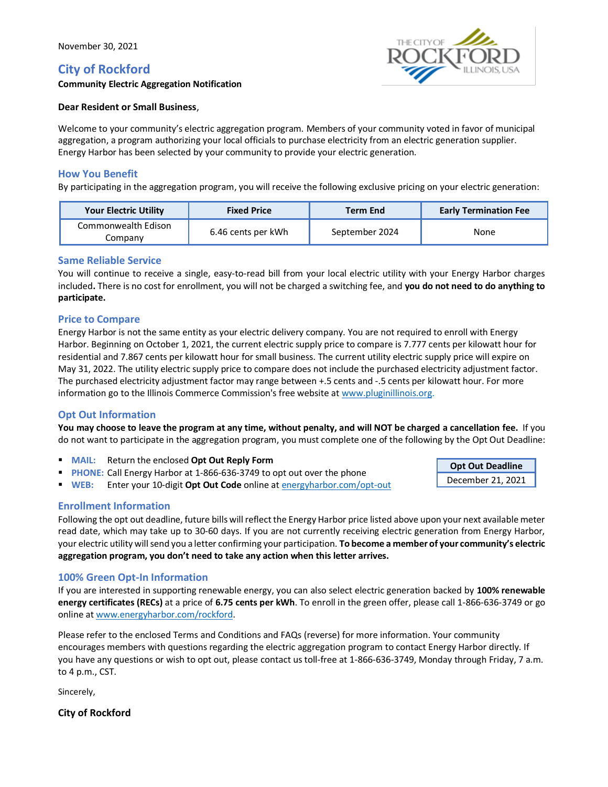# **City of Rockford**



**Opt Out Deadline** December 21, 2021

**Community Electric Aggregation Notification**

#### **Dear Resident or Small Business**,

Welcome to your community's electric aggregation program. Members of your community voted in favor of municipal aggregation, a program authorizing your local officials to purchase electricity from an electric generation supplier. Energy Harbor has been selected by your community to provide your electric generation.

### **How You Benefit**

By participating in the aggregation program, you will receive the following exclusive pricing on your electric generation:

| <b>Your Electric Utility</b>   | <b>Fixed Price</b> | <b>Term End</b> | <b>Early Termination Fee</b> |
|--------------------------------|--------------------|-----------------|------------------------------|
| Commonwealth Edison<br>Company | 6.46 cents per kWh | September 2024  | None                         |

#### **Same Reliable Service**

You will continue to receive a single, easy-to-read bill from your local electric utility with your Energy Harbor charges included**.** There is no cost for enrollment, you will not be charged a switching fee, and **you do not need to do anything to participate.**

#### **Price to Compare**

Energy Harbor is not the same entity as your electric delivery company. You are not required to enroll with Energy Harbor. Beginning on October 1, 2021, the current electric supply price to compare is 7.777 cents per kilowatt hour for residential and 7.867 cents per kilowatt hour for small business. The current utility electric supply price will expire on May 31, 2022. The utility electric supply price to compare does not include the purchased electricity adjustment factor. The purchased electricity adjustment factor may range between +.5 cents and ‐.5 cents per kilowatt hour. For more information go to the Illinois Commerce Commission's free website at [www.pluginillinois.org.](http://www.pluginillinois.org/)

#### **Opt Out Information**

**You may choose to leave the program at any time, without penalty, and will NOT be charged a cancellation fee.** If you do not want to participate in the aggregation program, you must complete one of the following by the Opt Out Deadline:

- **MAIL:** Return the enclosed **Opt Out Reply Form**
- **PHONE:** Call Energy Harbor at 1-866-636-3749 to opt out over the phone
- **WEB:** Enter your 10-digit **Opt Out Code** online a[t energyharbor.com/opt-out](http://www.energyharbor.com/opt-out)

#### **Enrollment Information**

Following the opt out deadline, future bills will reflect the Energy Harbor price listed above upon your next available meter read date, which may take up to 30-60 days. If you are not currently receiving electric generation from Energy Harbor, your electric utility will send you a letter confirming your participation. **To become a member of your community's electric aggregation program, you don't need to take any action when this letter arrives.**

#### **100% Green Opt-In Information**

If you are interested in supporting renewable energy, you can also select electric generation backed by **100% renewable energy certificates (RECs)** at a price of **6.75 cents per kWh**. To enroll in the green offer, please call 1-866-636-3749 or go online a[t www.energyharbor.com/rockford.](http://www.energyharbor.com/rockford)

Please refer to the enclosed Terms and Conditions and FAQs (reverse) for more information. Your community encourages members with questions regarding the electric aggregation program to contact Energy Harbor directly. If you have any questions or wish to opt out, please contact us toll-free at 1-866-636-3749, Monday through Friday, 7 a.m. to 4 p.m., CST.

Sincerely,

**City of Rockford**